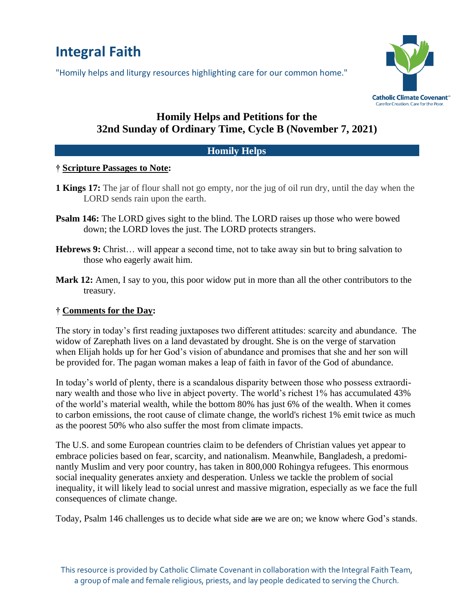# **Integral Faith**

"Homily helps and liturgy resources highlighting care for our common home."



# **Homily Helps and Petitions for the 32nd Sunday of Ordinary Time, Cycle B (November 7, 2021)**

#### **Homily Helps**

#### **† Scripture Passages to Note:**

- **1 Kings 17:** The jar of flour shall not go empty, nor the jug of oil run dry, until the day when the LORD sends rain upon the earth.
- **Psalm 146:** The LORD gives sight to the blind. The LORD raises up those who were bowed down; the LORD loves the just. The LORD protects strangers.
- **Hebrews 9:** Christ… will appear a second time, not to take away sin but to bring salvation to those who eagerly await him.
- **Mark 12:** Amen, I say to you, this poor widow put in more than all the other contributors to the treasury.

## **† Comments for the Day:**

The story in today's first reading juxtaposes two different attitudes: scarcity and abundance. The widow of Zarephath lives on a land devastated by drought. She is on the verge of starvation when Elijah holds up for her God's vision of abundance and promises that she and her son will be provided for. The pagan woman makes a leap of faith in favor of the God of abundance.

In today's world of plenty, there is a scandalous disparity between those who possess extraordinary wealth and those who live in abject poverty. The world's richest 1% has accumulated 43% of the world's material wealth, while the bottom 80% has just 6% of the wealth. When it comes to carbon emissions, the root cause of climate change, the world's richest 1% emit twice as much as the poorest 50% who also suffer the most from climate impacts.

The U.S. and some European countries claim to be defenders of Christian values yet appear to embrace policies based on fear, scarcity, and nationalism. Meanwhile, Bangladesh, a predominantly Muslim and very poor country, has taken in 800,000 Rohingya refugees. This enormous social inequality generates anxiety and desperation. Unless we tackle the problem of social inequality, it will likely lead to social unrest and massive migration, especially as we face the full consequences of climate change.

Today, Psalm 146 challenges us to decide what side are we are on; we know where God's stands.

This resource is provided by Catholic Climate Covenant in collaboration with the Integral Faith Team, a group of male and female religious, priests, and lay people dedicated to serving the Church.